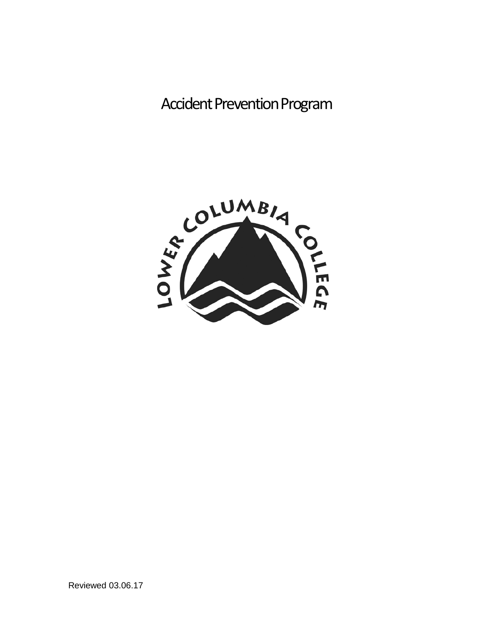Accident Prevention Program

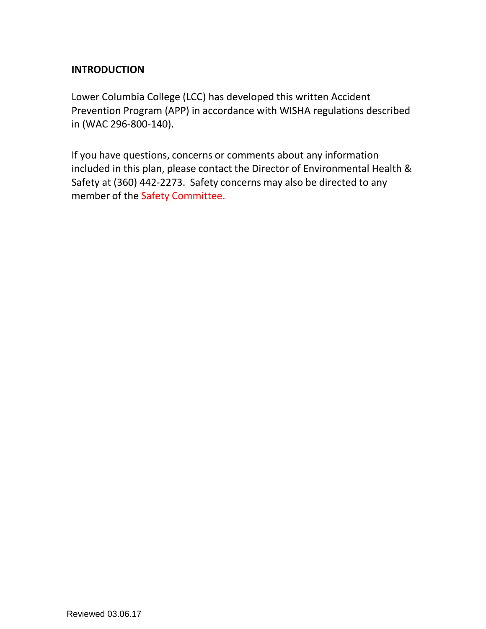## **INTRODUCTION**

Lower Columbia College (LCC) has developed this written Accident Prevention Program (APP) in accordance with WISHA regulations described in (WAC 296-800-140).

If you have questions, concerns or comments about any information included in this plan, please contact the Director of Environmental Health & Safety at (360) 442-2273. Safety concerns may also be directed to any member of the [Safety Committee.](http://internal.lowercolumbia.edu/organization/committees/safety/index.php)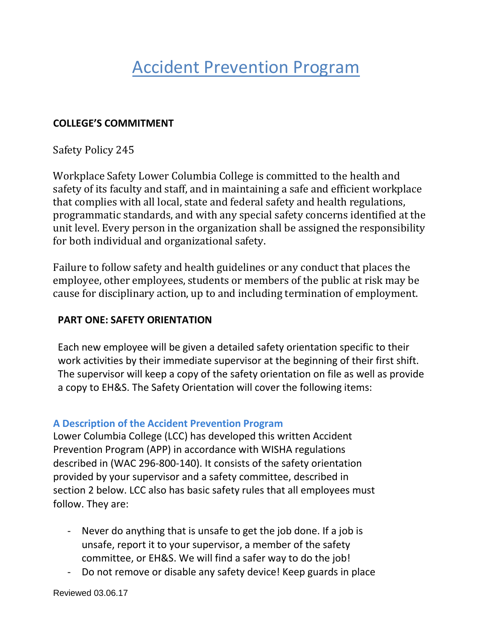# Accident Prevention Program

## **COLLEGE'S COMMITMENT**

## Safety Policy 245

Workplace Safety Lower Columbia College is committed to the health and safety of its faculty and staff, and in maintaining a safe and efficient workplace that complies with all local, state and federal safety and health regulations, programmatic standards, and with any special safety concerns identified at the unit level. Every person in the organization shall be assigned the responsibility for both individual and organizational safety.

Failure to follow safety and health guidelines or any conduct that places the employee, other employees, students or members of the public at risk may be cause for disciplinary action, up to and including termination of employment.

## **PART ONE: SAFETY ORIENTATION**

Each new employee will be given a detailed safety orientation specific to their work activities by their immediate supervisor at the beginning of their first shift. The supervisor will keep a copy of the safety orientation on file as well as provide a copy to EH&S. The Safety Orientation will cover the following items:

#### **A Description of the Accident Prevention Program**

Lower Columbia College (LCC) has developed this written Accident Prevention Program (APP) in accordance with WISHA regulations described in (WAC 296-800-140). It consists of the safety orientation provided by your supervisor and a safety committee, described in section 2 below. LCC also has basic safety rules that all employees must follow. They are:

- Never do anything that is unsafe to get the job done. If a job is unsafe, report it to your supervisor, a member of the safety committee, or EH&S. We will find a safer way to do the job!
- Do not remove or disable any safety device! Keep guards in place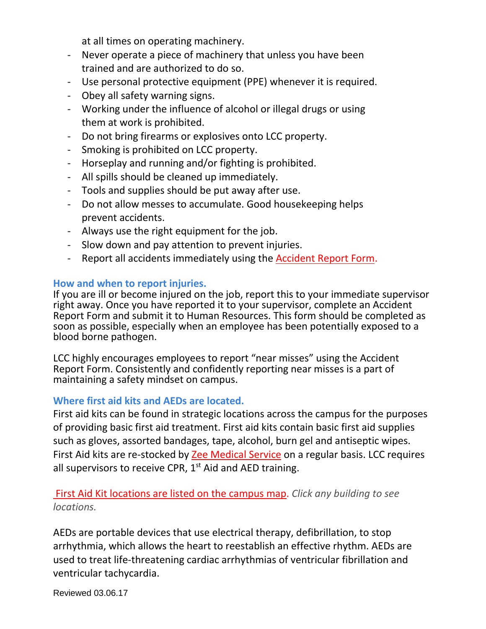at all times on operating machinery.

- Never operate a piece of machinery that unless you have been trained and are authorized to do so.
- Use personal protective equipment (PPE) whenever it is required.
- Obey all safety warning signs.
- Working under the influence of alcohol or illegal drugs or using them at work is prohibited.
- Do not bring firearms or explosives onto LCC property.
- Smoking is prohibited on LCC property.
- Horseplay and running and/or fighting is prohibited.
- All spills should be cleaned up immediately.
- Tools and supplies should be put away after use.
- Do not allow messes to accumulate. Good housekeeping helps prevent accidents.
- Always use the right equipment for the job.
- Slow down and pay attention to prevent injuries.
- Report all accidents immediately using the [Accident Report Form.](http://lcc.ctc.edu/info/webresources2/HumanResources/AccidentReport012015.pdf)

## **How and when to report injuries.**

If you are ill or become injured on the job, report this to your immediate supervisor right away. Once you have reported it to your supervisor, complete an Accident Report Form and submit it to Human Resources. This form should be completed as soon as possible, especially when an employee has been potentially exposed to a blood borne pathogen.

LCC highly encourages employees to report "near misses" using the Accident Report Form. Consistently and confidently reporting near misses is a part of maintaining a safety mindset on campus.

## **Where first aid kits and AEDs are located.**

First aid kits can be found in strategic locations across the campus for the purposes of providing basic first aid treatment. First aid kits contain basic first aid supplies such as gloves, assorted bandages, tape, alcohol, burn gel and antiseptic wipes. First Aid kits are re-stocked by [Zee Medical Service](https://zeemedical.net/) on a regular basis. LCC requires all supervisors to receive CPR,  $1<sup>st</sup>$  Aid and AED training.

[First Aid Kit locations are listed on the campus map.](http://lcc.ctc.edu/maps/) *Click any building to see locations.*

AEDs are portable devices that use electrical therapy, defibrillation, to stop arrhythmia, which allows the heart to reestablish an effective rhythm. AEDs are used to treat life-threatening cardiac arrhythmias of ventricular fibrillation and ventricular tachycardia.

Reviewed 03.06.17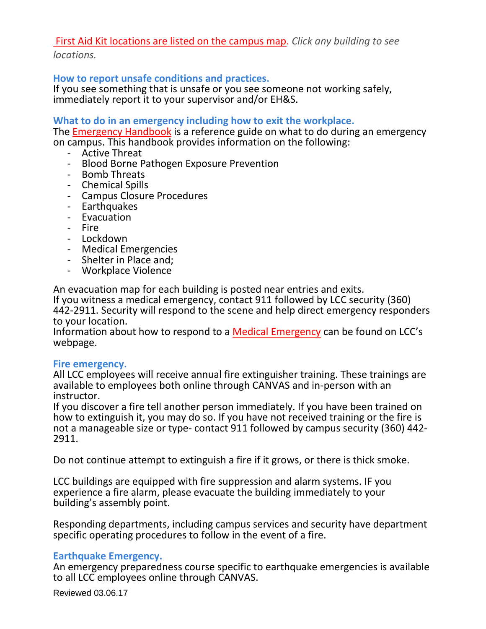### [First Aid Kit locations are listed on the campus map.](http://lcc.ctc.edu/maps/) *Click any building to see locations.*

### **How to report unsafe conditions and practices.**

If you see something that is unsafe or you see someone not working safely, immediately report it to your supervisor and/or EH&S.

#### **What to do in an emergency including how to exit the workplace.**

The [Emergency Handbook](http://lowercolumbia.edu/publications/emergency/index.php) is a reference guide on what to do during an emergency on campus. This handbook provides information on the following:

- Active Threat
- Blood Borne Pathogen Exposure Prevention
- Bomb Threats
- Chemical Spills
- Campus Closure Procedures
- Earthquakes
- Evacuation
- Fire
- Lockdown
- Medical Emergencies
- Shelter in Place and;
- Workplace Violence

An evacuation map for each building is posted near entries and exits.

If you witness a medical emergency, contact 911 followed by LCC security (360) 442-2911. Security will respond to the scene and help direct emergency responders to your location.

Information about how to respond to a [Medical Emergency](http://lowercolumbia.edu/safety/employee/medical-emergency.php) can be found on LCC's webpage.

#### **Fire emergency.**

All LCC employees will receive annual fire extinguisher training. These trainings are available to employees both online through CANVAS and in-person with an instructor.

If you discover a fire tell another person immediately. If you have been trained on how to extinguish it, you may do so. If you have not received training or the fire is not a manageable size or type- contact 911 followed by campus security (360) 442- 2911.

Do not continue attempt to extinguish a fire if it grows, or there is thick smoke.

LCC buildings are equipped with fire suppression and alarm systems. IF you experience a fire alarm, please evacuate the building immediately to your building's assembly point.

Responding departments, including campus services and security have department specific operating procedures to follow in the event of a fire.

#### **Earthquake Emergency.**

An emergency preparedness course specific to earthquake emergencies is available to all LCC employees online through CANVAS.

Reviewed 03.06.17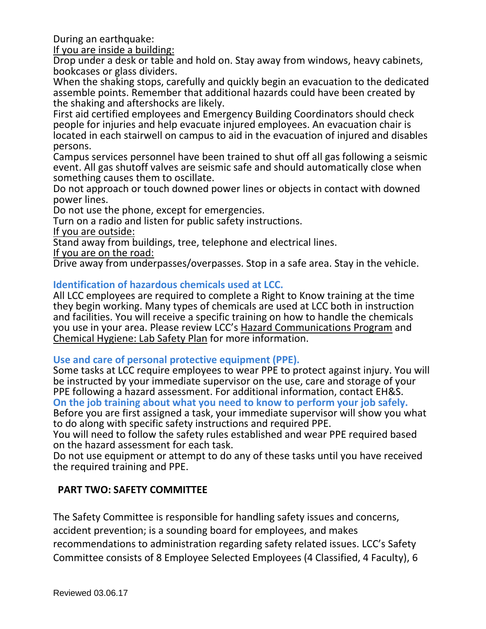During an earthquake:

If you are inside a building:

Drop under a desk or table and hold on. Stay away from windows, heavy cabinets, bookcases or glass dividers.

When the shaking stops, carefully and quickly begin an evacuation to the dedicated assemble points. Remember that additional hazards could have been created by the shaking and aftershocks are likely.

First aid certified employees and Emergency Building Coordinators should check people for injuries and help evacuate injured employees. An evacuation chair is located in each stairwell on campus to aid in the evacuation of injured and disables persons.

Campus services personnel have been trained to shut off all gas following a seismic event. All gas shutoff valves are seismic safe and should automatically close when something causes them to oscillate.

Do not approach or touch downed power lines or objects in contact with downed power lines.

Do not use the phone, except for emergencies.

Turn on a radio and listen for public safety instructions.

If you are outside:

Stand away from buildings, tree, telephone and electrical lines.

If you are on the road:

Drive away from underpasses/overpasses. Stop in a safe area. Stay in the vehicle.

## **Identification of hazardous chemicals used at LCC.**

All LCC employees are required to complete a Right to Know training at the time they begin working. Many types of chemicals are used at LCC both in instruction and facilities. You will receive a specific training on how to handle the chemicals you use in your area. Please review LCC's Hazard Communications Program and Chemical Hygiene: Lab Safety Plan for more information.

## **Use and care of personal protective equipment (PPE).**

Some tasks at LCC require employees to wear PPE to protect against injury. You will be instructed by your immediate supervisor on the use, care and storage of your PPE following a hazard assessment. For additional information, contact EH&S.

**On the job training about what you need to know to perform your job safely.** Before you are first assigned a task, your immediate supervisor will show you what to do along with specific safety instructions and required PPE.

You will need to follow the safety rules established and wear PPE required based on the hazard assessment for each task.

Do not use equipment or attempt to do any of these tasks until you have received the required training and PPE.

## **PART TWO: SAFETY COMMITTEE**

The Safety Committee is responsible for handling safety issues and concerns, accident prevention; is a sounding board for employees, and makes recommendations to administration regarding safety related issues. LCC's Safety Committee consists of 8 Employee Selected Employees (4 Classified, 4 Faculty), 6